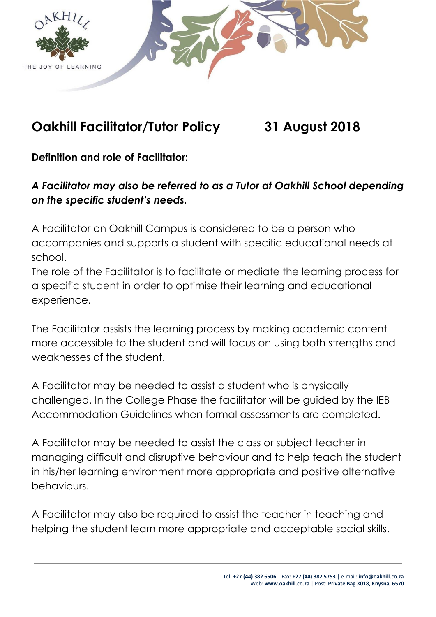

# **Oakhill Facilitator/Tutor Policy 31 August 2018**

# **Definition and role of Facilitator:**

*A Facilitator may also be referred to as a Tutor at Oakhill School depending on the specific student's needs.*

A Facilitator on Oakhill Campus is considered to be a person who accompanies and supports a student with specific educational needs at school.

The role of the Facilitator is to facilitate or mediate the learning process for a specific student in order to optimise their learning and educational experience.

The Facilitator assists the learning process by making academic content more accessible to the student and will focus on using both strengths and weaknesses of the student.

A Facilitator may be needed to assist a student who is physically challenged. In the College Phase the facilitator will be guided by the IEB Accommodation Guidelines when formal assessments are completed.

A Facilitator may be needed to assist the class or subject teacher in managing difficult and disruptive behaviour and to help teach the student in his/her learning environment more appropriate and positive alternative behaviours.

A Facilitator may also be required to assist the teacher in teaching and helping the student learn more appropriate and acceptable social skills.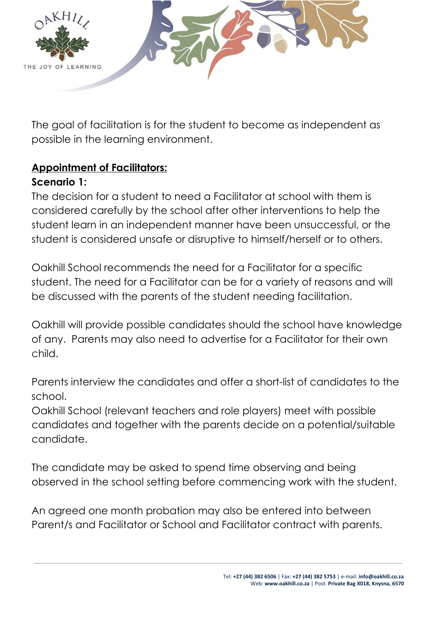

The goal of facilitation is for the student to become as independent as possible in the learning environment.

# **Appointment of Facilitators:**

### **Scenario 1:**

The decision for a student to need a Facilitator at school with them is considered carefully by the school after other interventions to help the student learn in an independent manner have been unsuccessful, or the student is considered unsafe or disruptive to himself/herself or to others.

Oakhill School recommends the need for a Facilitator for a specific student. The need for a Facilitator can be for a variety of reasons and will be discussed with the parents of the student needing facilitation.

Oakhill will provide possible candidates should the school have knowledge of any. Parents may also need to advertise for a Facilitator for their own child.

Parents interview the candidates and offer a short-list of candidates to the school.

Oakhill School (relevant teachers and role players) meet with possible candidates and together with the parents decide on a potential/suitable candidate.

The candidate may be asked to spend time observing and being observed in the school setting before commencing work with the student.

An agreed one month probation may also be entered into between Parent/s and Facilitator or School and Facilitator contract with parents.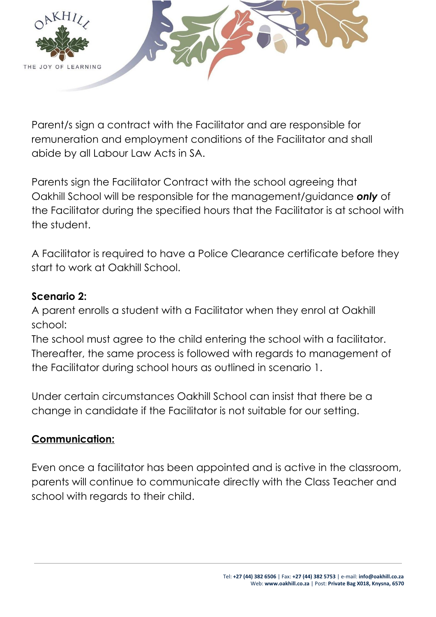

Parent/s sign a contract with the Facilitator and are responsible for remuneration and employment conditions of the Facilitator and shall abide by all Labour Law Acts in SA.

Parents sign the Facilitator Contract with the school agreeing that Oakhill School will be responsible for the management/guidance *only* of the Facilitator during the specified hours that the Facilitator is at school with the student.

A Facilitator is required to have a Police Clearance certificate before they start to work at Oakhill School.

#### **Scenario 2:**

A parent enrolls a student with a Facilitator when they enrol at Oakhill school:

The school must agree to the child entering the school with a facilitator. Thereafter, the same process is followed with regards to management of the Facilitator during school hours as outlined in scenario 1.

Under certain circumstances Oakhill School can insist that there be a change in candidate if the Facilitator is not suitable for our setting.

### **Communication:**

Even once a facilitator has been appointed and is active in the classroom, parents will continue to communicate directly with the Class Teacher and school with regards to their child.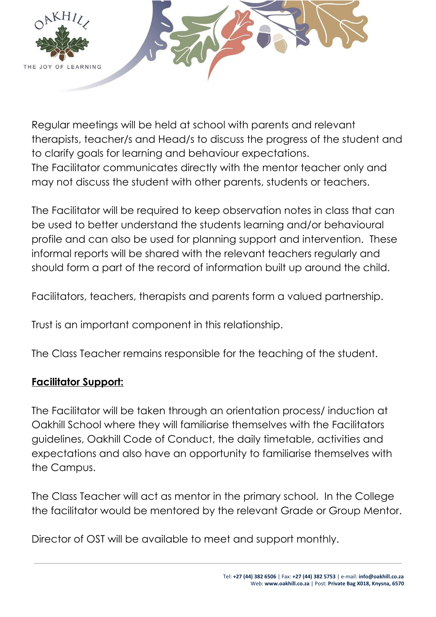

Regular meetings will be held at school with parents and relevant therapists, teacher/s and Head/s to discuss the progress of the student and to clarify goals for learning and behaviour expectations. The Facilitator communicates directly with the mentor teacher only and may not discuss the student with other parents, students or teachers.

The Facilitator will be required to keep observation notes in class that can be used to better understand the students learning and/or behavioural profile and can also be used for planning support and intervention. These informal reports will be shared with the relevant teachers regularly and should form a part of the record of information built up around the child.

Facilitators, teachers, therapists and parents form a valued partnership.

Trust is an important component in this relationship.

The Class Teacher remains responsible for the teaching of the student.

### **Facilitator Support:**

The Facilitator will be taken through an orientation process/ induction at Oakhill School where they will familiarise themselves with the Facilitators guidelines, Oakhill Code of Conduct, the daily timetable, activities and expectations and also have an opportunity to familiarise themselves with the Campus.

The Class Teacher will act as mentor in the primary school. In the College the facilitator would be mentored by the relevant Grade or Group Mentor.

Director of OST will be available to meet and support monthly.